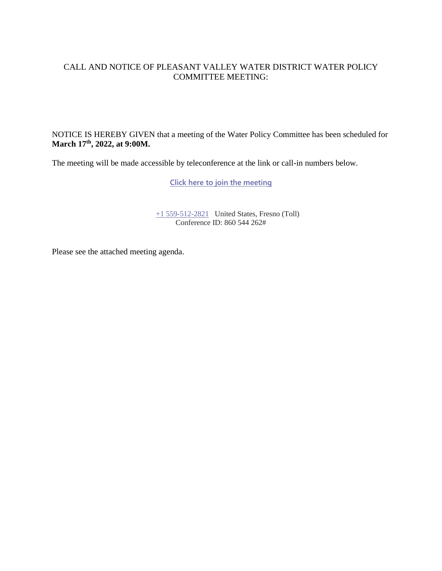### CALL AND NOTICE OF PLEASANT VALLEY WATER DISTRICT WATER POLICY COMMITTEE MEETING:

NOTICE IS HEREBY GIVEN that a meeting of the Water Policy Committee has been scheduled for **March 17 th , 2022, at 9:00M.**

The meeting will be made accessible by teleconference at the link or call-in numbers below.

**[Click here to join the meeting](https://teams.microsoft.com/l/meetup-join/19%3ameeting_Yjk2ZGIwZWEtYjQ3Ni00Y2E1LTk0MTktZWJkOTY4NDY4NDE5%40thread.v2/0?context=%7b%22Tid%22%3a%22a6cf659f-2360-4ff9-9e8d-045f48434ada%22%2c%22Oid%22%3a%225aeb912a-1b48-4d0b-94f5-be7893f4a09c%22%7d)**

[+1 559-512-2821](tel:+15595122821,,85232084# ) United States, Fresno (Toll) Conference ID: 860 544 262#

Please see the attached meeting agenda.